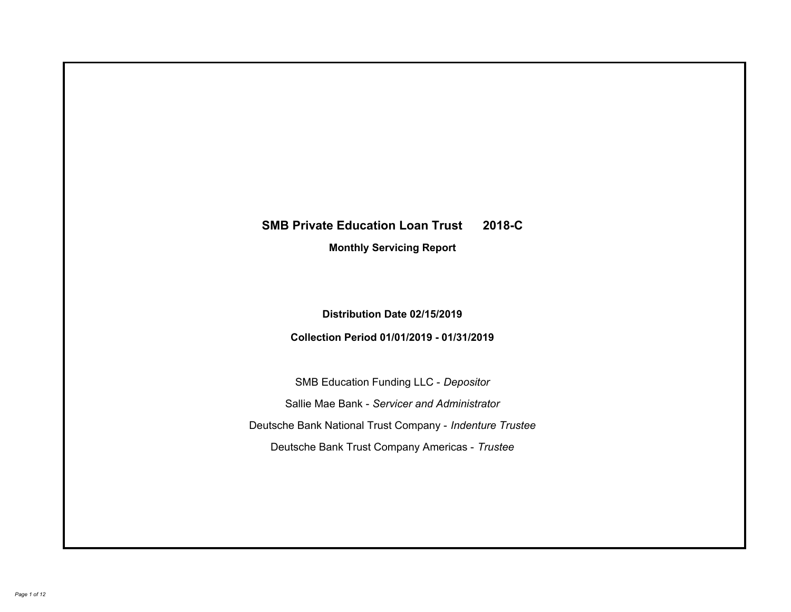# **SMB Private Education Loan Trust 2018-C Monthly Servicing Report**

## **Distribution Date 02/15/2019**

## **Collection Period 01/01/2019 - 01/31/2019**

SMB Education Funding LLC - *Depositor* Sallie Mae Bank - *Servicer and Administrator* Deutsche Bank National Trust Company - *Indenture Trustee* Deutsche Bank Trust Company Americas - *Trustee*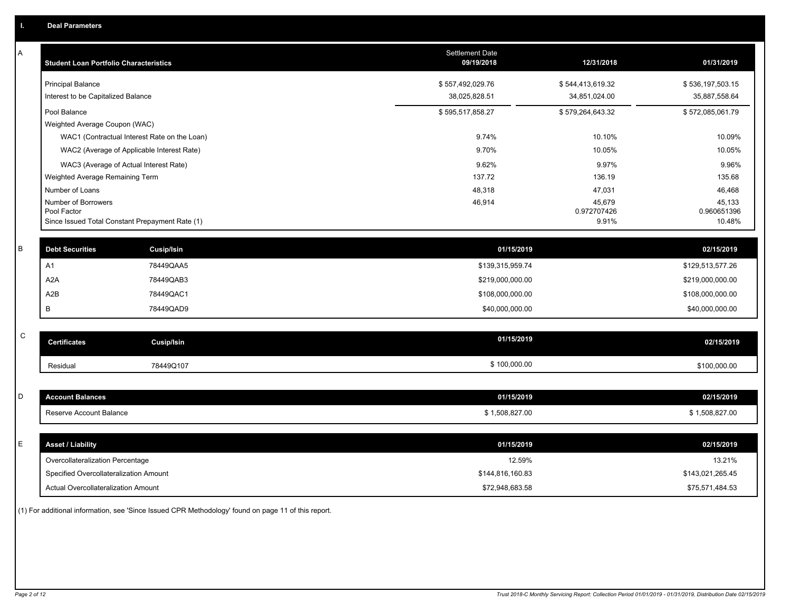| Α | <b>Student Loan Portfolio Characteristics</b>                  |                   | <b>Settlement Date</b><br>09/19/2018 | 12/31/2018           | 01/31/2019            |
|---|----------------------------------------------------------------|-------------------|--------------------------------------|----------------------|-----------------------|
|   | <b>Principal Balance</b>                                       |                   | \$557,492,029.76                     | \$544,413,619.32     | \$536,197,503.15      |
|   | Interest to be Capitalized Balance                             |                   | 38,025,828.51                        | 34,851,024.00        | 35,887,558.64         |
|   | Pool Balance                                                   |                   | \$595,517,858.27                     | \$579,264,643.32     | \$572,085,061.79      |
|   | Weighted Average Coupon (WAC)                                  |                   |                                      |                      |                       |
|   | WAC1 (Contractual Interest Rate on the Loan)                   |                   | 9.74%                                | 10.10%               | 10.09%                |
|   | WAC2 (Average of Applicable Interest Rate)                     |                   | 9.70%                                | 10.05%               | 10.05%                |
|   | WAC3 (Average of Actual Interest Rate)                         |                   | 9.62%                                | 9.97%                | 9.96%                 |
|   | Weighted Average Remaining Term                                |                   | 137.72                               | 136.19               | 135.68                |
|   | Number of Loans                                                |                   | 48,318                               | 47,031               | 46,468                |
|   | Number of Borrowers                                            |                   | 46,914                               | 45,679               | 45,133                |
|   | Pool Factor<br>Since Issued Total Constant Prepayment Rate (1) |                   |                                      | 0.972707426<br>9.91% | 0.960651396<br>10.48% |
|   |                                                                |                   |                                      |                      |                       |
| B | <b>Debt Securities</b>                                         | <b>Cusip/Isin</b> | 01/15/2019                           |                      | 02/15/2019            |
|   | A <sub>1</sub>                                                 | 78449QAA5         | \$139,315,959.74                     |                      | \$129,513,577.26      |
|   | A <sub>2</sub> A                                               | 78449QAB3         | \$219,000,000.00                     |                      | \$219,000,000.00      |
|   | A2B                                                            | 78449QAC1         | \$108,000,000.00                     |                      | \$108,000,000.00      |
|   | В                                                              | 78449QAD9         | \$40,000,000.00                      |                      | \$40,000,000.00       |
|   |                                                                |                   |                                      |                      |                       |
| C | <b>Certificates</b>                                            | <b>Cusip/Isin</b> | 01/15/2019                           |                      | 02/15/2019            |
|   | Residual                                                       | 78449Q107         | \$100,000.00                         |                      | \$100,000.00          |
|   |                                                                |                   |                                      |                      |                       |
| D | <b>Account Balances</b>                                        |                   | 01/15/2019                           |                      | 02/15/2019            |
|   | Reserve Account Balance                                        |                   | \$1,508,827.00                       |                      | \$1,508,827.00        |
|   |                                                                |                   |                                      |                      |                       |
| Е | <b>Asset / Liability</b>                                       |                   | 01/15/2019                           |                      | 02/15/2019            |
|   | Overcollateralization Percentage                               |                   | 12.59%                               |                      | 13.21%                |
|   | Specified Overcollateralization Amount                         |                   | \$144,816,160.83                     |                      | \$143,021,265.45      |
|   | Actual Overcollateralization Amount                            |                   | \$72,948,683.58                      |                      | \$75,571,484.53       |

(1) For additional information, see 'Since Issued CPR Methodology' found on page 11 of this report.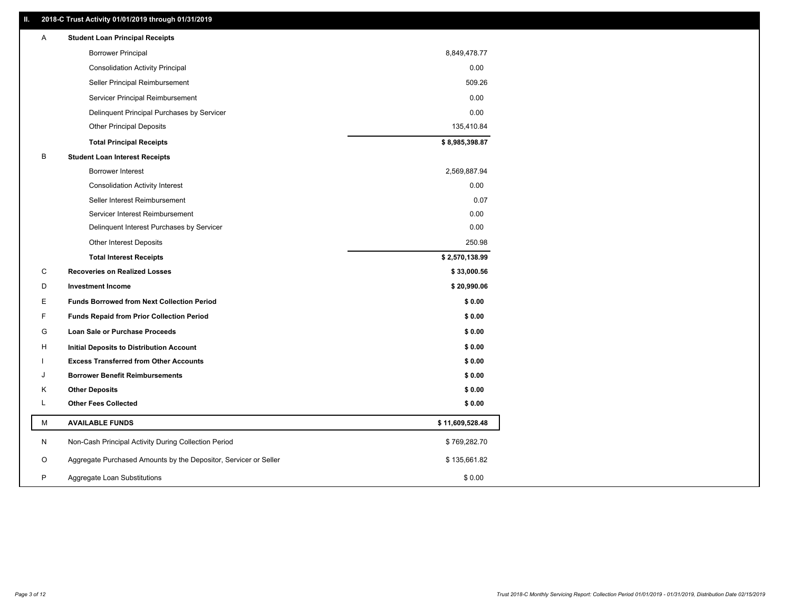#### **II. 2018-C Trust Activity 01/01/2019 through 01/31/2019**

| <b>Borrower Principal</b><br>8,849,478.77<br><b>Consolidation Activity Principal</b><br>0.00<br>509.26<br>Seller Principal Reimbursement<br>0.00<br>Servicer Principal Reimbursement<br>0.00<br>Delinquent Principal Purchases by Servicer<br><b>Other Principal Deposits</b><br>135,410.84<br>\$8,985,398.87<br><b>Total Principal Receipts</b><br>в<br><b>Student Loan Interest Receipts</b><br><b>Borrower Interest</b><br>2,569,887.94<br>0.00<br><b>Consolidation Activity Interest</b><br>Seller Interest Reimbursement<br>0.07<br>0.00<br>Servicer Interest Reimbursement<br>0.00<br>Delinquent Interest Purchases by Servicer<br>250.98<br>Other Interest Deposits<br>\$2,570,138.99<br><b>Total Interest Receipts</b><br>С<br><b>Recoveries on Realized Losses</b><br>\$33,000.56<br>D<br><b>Investment Income</b><br>\$20,990.06<br>Е<br><b>Funds Borrowed from Next Collection Period</b><br>\$0.00<br>F<br><b>Funds Repaid from Prior Collection Period</b><br>\$0.00<br>G<br>\$0.00<br><b>Loan Sale or Purchase Proceeds</b><br>\$0.00<br>н<br>Initial Deposits to Distribution Account<br>\$0.00<br><b>Excess Transferred from Other Accounts</b><br><b>Borrower Benefit Reimbursements</b><br>\$0.00<br>J<br><b>Other Deposits</b><br>\$0.00<br>Κ<br><b>Other Fees Collected</b><br>L<br>\$0.00<br>М<br><b>AVAILABLE FUNDS</b><br>\$11,609,528.48<br>N<br>Non-Cash Principal Activity During Collection Period<br>\$769,282.70<br>O<br>Aggregate Purchased Amounts by the Depositor, Servicer or Seller<br>\$135,661.82<br>P<br>\$0.00<br>Aggregate Loan Substitutions | Α | <b>Student Loan Principal Receipts</b> |  |
|---------------------------------------------------------------------------------------------------------------------------------------------------------------------------------------------------------------------------------------------------------------------------------------------------------------------------------------------------------------------------------------------------------------------------------------------------------------------------------------------------------------------------------------------------------------------------------------------------------------------------------------------------------------------------------------------------------------------------------------------------------------------------------------------------------------------------------------------------------------------------------------------------------------------------------------------------------------------------------------------------------------------------------------------------------------------------------------------------------------------------------------------------------------------------------------------------------------------------------------------------------------------------------------------------------------------------------------------------------------------------------------------------------------------------------------------------------------------------------------------------------------------------------------------------------------------------------------|---|----------------------------------------|--|
|                                                                                                                                                                                                                                                                                                                                                                                                                                                                                                                                                                                                                                                                                                                                                                                                                                                                                                                                                                                                                                                                                                                                                                                                                                                                                                                                                                                                                                                                                                                                                                                       |   |                                        |  |
|                                                                                                                                                                                                                                                                                                                                                                                                                                                                                                                                                                                                                                                                                                                                                                                                                                                                                                                                                                                                                                                                                                                                                                                                                                                                                                                                                                                                                                                                                                                                                                                       |   |                                        |  |
|                                                                                                                                                                                                                                                                                                                                                                                                                                                                                                                                                                                                                                                                                                                                                                                                                                                                                                                                                                                                                                                                                                                                                                                                                                                                                                                                                                                                                                                                                                                                                                                       |   |                                        |  |
|                                                                                                                                                                                                                                                                                                                                                                                                                                                                                                                                                                                                                                                                                                                                                                                                                                                                                                                                                                                                                                                                                                                                                                                                                                                                                                                                                                                                                                                                                                                                                                                       |   |                                        |  |
|                                                                                                                                                                                                                                                                                                                                                                                                                                                                                                                                                                                                                                                                                                                                                                                                                                                                                                                                                                                                                                                                                                                                                                                                                                                                                                                                                                                                                                                                                                                                                                                       |   |                                        |  |
|                                                                                                                                                                                                                                                                                                                                                                                                                                                                                                                                                                                                                                                                                                                                                                                                                                                                                                                                                                                                                                                                                                                                                                                                                                                                                                                                                                                                                                                                                                                                                                                       |   |                                        |  |
|                                                                                                                                                                                                                                                                                                                                                                                                                                                                                                                                                                                                                                                                                                                                                                                                                                                                                                                                                                                                                                                                                                                                                                                                                                                                                                                                                                                                                                                                                                                                                                                       |   |                                        |  |
|                                                                                                                                                                                                                                                                                                                                                                                                                                                                                                                                                                                                                                                                                                                                                                                                                                                                                                                                                                                                                                                                                                                                                                                                                                                                                                                                                                                                                                                                                                                                                                                       |   |                                        |  |
|                                                                                                                                                                                                                                                                                                                                                                                                                                                                                                                                                                                                                                                                                                                                                                                                                                                                                                                                                                                                                                                                                                                                                                                                                                                                                                                                                                                                                                                                                                                                                                                       |   |                                        |  |
|                                                                                                                                                                                                                                                                                                                                                                                                                                                                                                                                                                                                                                                                                                                                                                                                                                                                                                                                                                                                                                                                                                                                                                                                                                                                                                                                                                                                                                                                                                                                                                                       |   |                                        |  |
|                                                                                                                                                                                                                                                                                                                                                                                                                                                                                                                                                                                                                                                                                                                                                                                                                                                                                                                                                                                                                                                                                                                                                                                                                                                                                                                                                                                                                                                                                                                                                                                       |   |                                        |  |
|                                                                                                                                                                                                                                                                                                                                                                                                                                                                                                                                                                                                                                                                                                                                                                                                                                                                                                                                                                                                                                                                                                                                                                                                                                                                                                                                                                                                                                                                                                                                                                                       |   |                                        |  |
|                                                                                                                                                                                                                                                                                                                                                                                                                                                                                                                                                                                                                                                                                                                                                                                                                                                                                                                                                                                                                                                                                                                                                                                                                                                                                                                                                                                                                                                                                                                                                                                       |   |                                        |  |
|                                                                                                                                                                                                                                                                                                                                                                                                                                                                                                                                                                                                                                                                                                                                                                                                                                                                                                                                                                                                                                                                                                                                                                                                                                                                                                                                                                                                                                                                                                                                                                                       |   |                                        |  |
|                                                                                                                                                                                                                                                                                                                                                                                                                                                                                                                                                                                                                                                                                                                                                                                                                                                                                                                                                                                                                                                                                                                                                                                                                                                                                                                                                                                                                                                                                                                                                                                       |   |                                        |  |
|                                                                                                                                                                                                                                                                                                                                                                                                                                                                                                                                                                                                                                                                                                                                                                                                                                                                                                                                                                                                                                                                                                                                                                                                                                                                                                                                                                                                                                                                                                                                                                                       |   |                                        |  |
|                                                                                                                                                                                                                                                                                                                                                                                                                                                                                                                                                                                                                                                                                                                                                                                                                                                                                                                                                                                                                                                                                                                                                                                                                                                                                                                                                                                                                                                                                                                                                                                       |   |                                        |  |
|                                                                                                                                                                                                                                                                                                                                                                                                                                                                                                                                                                                                                                                                                                                                                                                                                                                                                                                                                                                                                                                                                                                                                                                                                                                                                                                                                                                                                                                                                                                                                                                       |   |                                        |  |
|                                                                                                                                                                                                                                                                                                                                                                                                                                                                                                                                                                                                                                                                                                                                                                                                                                                                                                                                                                                                                                                                                                                                                                                                                                                                                                                                                                                                                                                                                                                                                                                       |   |                                        |  |
|                                                                                                                                                                                                                                                                                                                                                                                                                                                                                                                                                                                                                                                                                                                                                                                                                                                                                                                                                                                                                                                                                                                                                                                                                                                                                                                                                                                                                                                                                                                                                                                       |   |                                        |  |
|                                                                                                                                                                                                                                                                                                                                                                                                                                                                                                                                                                                                                                                                                                                                                                                                                                                                                                                                                                                                                                                                                                                                                                                                                                                                                                                                                                                                                                                                                                                                                                                       |   |                                        |  |
|                                                                                                                                                                                                                                                                                                                                                                                                                                                                                                                                                                                                                                                                                                                                                                                                                                                                                                                                                                                                                                                                                                                                                                                                                                                                                                                                                                                                                                                                                                                                                                                       |   |                                        |  |
|                                                                                                                                                                                                                                                                                                                                                                                                                                                                                                                                                                                                                                                                                                                                                                                                                                                                                                                                                                                                                                                                                                                                                                                                                                                                                                                                                                                                                                                                                                                                                                                       |   |                                        |  |
|                                                                                                                                                                                                                                                                                                                                                                                                                                                                                                                                                                                                                                                                                                                                                                                                                                                                                                                                                                                                                                                                                                                                                                                                                                                                                                                                                                                                                                                                                                                                                                                       |   |                                        |  |
|                                                                                                                                                                                                                                                                                                                                                                                                                                                                                                                                                                                                                                                                                                                                                                                                                                                                                                                                                                                                                                                                                                                                                                                                                                                                                                                                                                                                                                                                                                                                                                                       |   |                                        |  |
|                                                                                                                                                                                                                                                                                                                                                                                                                                                                                                                                                                                                                                                                                                                                                                                                                                                                                                                                                                                                                                                                                                                                                                                                                                                                                                                                                                                                                                                                                                                                                                                       |   |                                        |  |
|                                                                                                                                                                                                                                                                                                                                                                                                                                                                                                                                                                                                                                                                                                                                                                                                                                                                                                                                                                                                                                                                                                                                                                                                                                                                                                                                                                                                                                                                                                                                                                                       |   |                                        |  |
|                                                                                                                                                                                                                                                                                                                                                                                                                                                                                                                                                                                                                                                                                                                                                                                                                                                                                                                                                                                                                                                                                                                                                                                                                                                                                                                                                                                                                                                                                                                                                                                       |   |                                        |  |
|                                                                                                                                                                                                                                                                                                                                                                                                                                                                                                                                                                                                                                                                                                                                                                                                                                                                                                                                                                                                                                                                                                                                                                                                                                                                                                                                                                                                                                                                                                                                                                                       |   |                                        |  |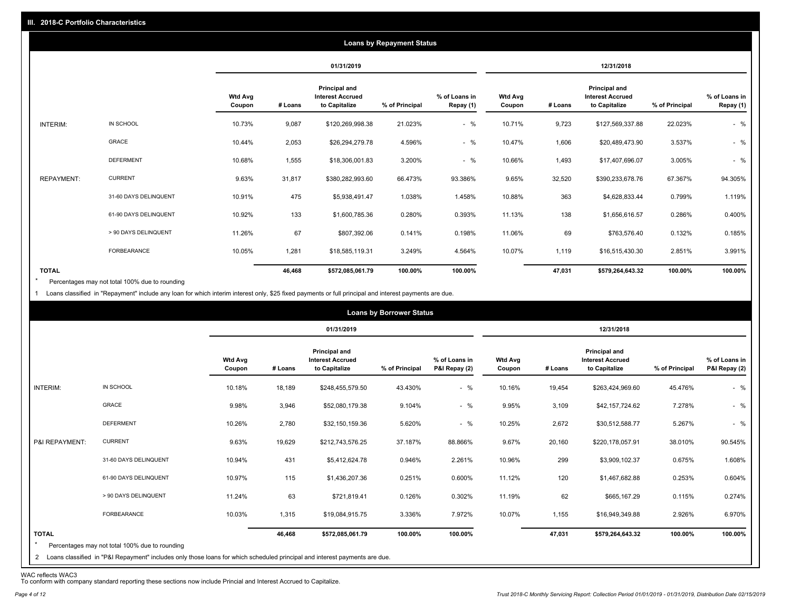|                   |                       |                          |         |                                                           | <b>Loans by Repayment Status</b> |                            |                          |         |                                                           |                |                            |
|-------------------|-----------------------|--------------------------|---------|-----------------------------------------------------------|----------------------------------|----------------------------|--------------------------|---------|-----------------------------------------------------------|----------------|----------------------------|
|                   |                       |                          |         | 01/31/2019                                                |                                  |                            |                          |         | 12/31/2018                                                |                |                            |
|                   |                       | <b>Wtd Avg</b><br>Coupon | # Loans | Principal and<br><b>Interest Accrued</b><br>to Capitalize | % of Principal                   | % of Loans in<br>Repay (1) | <b>Wtd Avg</b><br>Coupon | # Loans | Principal and<br><b>Interest Accrued</b><br>to Capitalize | % of Principal | % of Loans in<br>Repay (1) |
| INTERIM:          | IN SCHOOL             | 10.73%                   | 9,087   | \$120,269,998.38                                          | 21.023%                          | $-$ %                      | 10.71%                   | 9,723   | \$127,569,337.88                                          | 22.023%        | $-$ %                      |
|                   | <b>GRACE</b>          | 10.44%                   | 2,053   | \$26,294,279.78                                           | 4.596%                           | $-$ %                      | 10.47%                   | 1,606   | \$20,489,473.90                                           | 3.537%         | $-$ %                      |
|                   | <b>DEFERMENT</b>      | 10.68%                   | 1,555   | \$18,306,001.83                                           | 3.200%                           | $-$ %                      | 10.66%                   | 1,493   | \$17,407,696.07                                           | 3.005%         | $-$ %                      |
| <b>REPAYMENT:</b> | <b>CURRENT</b>        | 9.63%                    | 31,817  | \$380,282,993.60                                          | 66.473%                          | 93.386%                    | 9.65%                    | 32,520  | \$390,233,678.76                                          | 67.367%        | 94.305%                    |
|                   | 31-60 DAYS DELINQUENT | 10.91%                   | 475     | \$5,938,491.47                                            | 1.038%                           | 1.458%                     | 10.88%                   | 363     | \$4,628,833.44                                            | 0.799%         | 1.119%                     |
|                   | 61-90 DAYS DELINQUENT | 10.92%                   | 133     | \$1,600,785.36                                            | 0.280%                           | 0.393%                     | 11.13%                   | 138     | \$1,656,616.57                                            | 0.286%         | 0.400%                     |
|                   | > 90 DAYS DELINQUENT  | 11.26%                   | 67      | \$807,392.06                                              | 0.141%                           | 0.198%                     | 11.06%                   | 69      | \$763,576.40                                              | 0.132%         | 0.185%                     |
|                   | FORBEARANCE           | 10.05%                   | 1,281   | \$18,585,119.31                                           | 3.249%                           | 4.564%                     | 10.07%                   | 1,119   | \$16,515,430.30                                           | 2.851%         | 3.991%                     |
| <b>TOTAL</b>      |                       |                          | 46,468  | \$572,085,061.79                                          | 100.00%                          | 100.00%                    |                          | 47,031  | \$579,264,643.32                                          | 100.00%        | 100.00%                    |

Percentages may not total 100% due to rounding \*

1 Loans classified in "Repayment" include any loan for which interim interest only, \$25 fixed payments or full principal and interest payments are due.

|                         |                                                                                                                              |                          |         |                                                           | <b>Loans by Borrower Status</b> |                                |                          |         |                                                           |                |                                |
|-------------------------|------------------------------------------------------------------------------------------------------------------------------|--------------------------|---------|-----------------------------------------------------------|---------------------------------|--------------------------------|--------------------------|---------|-----------------------------------------------------------|----------------|--------------------------------|
|                         |                                                                                                                              |                          |         | 01/31/2019                                                |                                 |                                |                          |         | 12/31/2018                                                |                |                                |
|                         |                                                                                                                              | <b>Wtd Avg</b><br>Coupon | # Loans | Principal and<br><b>Interest Accrued</b><br>to Capitalize | % of Principal                  | % of Loans in<br>P&I Repay (2) | <b>Wtd Avg</b><br>Coupon | # Loans | Principal and<br><b>Interest Accrued</b><br>to Capitalize | % of Principal | % of Loans in<br>P&I Repay (2) |
| INTERIM:                | IN SCHOOL                                                                                                                    | 10.18%                   | 18,189  | \$248,455,579.50                                          | 43.430%                         | $-$ %                          | 10.16%                   | 19,454  | \$263,424,969.60                                          | 45.476%        | $-$ %                          |
|                         | GRACE                                                                                                                        | 9.98%                    | 3,946   | \$52,080,179.38                                           | 9.104%                          | $-$ %                          | 9.95%                    | 3,109   | \$42,157,724.62                                           | 7.278%         | $-$ %                          |
|                         | <b>DEFERMENT</b>                                                                                                             | 10.26%                   | 2,780   | \$32,150,159.36                                           | 5.620%                          | $-$ %                          | 10.25%                   | 2,672   | \$30,512,588.77                                           | 5.267%         | $-$ %                          |
| P&I REPAYMENT:          | <b>CURRENT</b>                                                                                                               | 9.63%                    | 19,629  | \$212,743,576.25                                          | 37.187%                         | 88.866%                        | 9.67%                    | 20,160  | \$220,178,057.91                                          | 38.010%        | 90.545%                        |
|                         | 31-60 DAYS DELINQUENT                                                                                                        | 10.94%                   | 431     | \$5,412,624.78                                            | 0.946%                          | 2.261%                         | 10.96%                   | 299     | \$3,909,102.37                                            | 0.675%         | 1.608%                         |
|                         | 61-90 DAYS DELINQUENT                                                                                                        | 10.97%                   | 115     | \$1,436,207.36                                            | 0.251%                          | 0.600%                         | 11.12%                   | 120     | \$1,467,682.88                                            | 0.253%         | 0.604%                         |
|                         | > 90 DAYS DELINQUENT                                                                                                         | 11.24%                   | 63      | \$721,819.41                                              | 0.126%                          | 0.302%                         | 11.19%                   | 62      | \$665,167.29                                              | 0.115%         | 0.274%                         |
|                         | FORBEARANCE                                                                                                                  | 10.03%                   | 1,315   | \$19,084,915.75                                           | 3.336%                          | 7.972%                         | 10.07%                   | 1,155   | \$16,949,349.88                                           | 2.926%         | 6.970%                         |
| <b>TOTAL</b><br>$\star$ | Percentages may not total 100% due to rounding                                                                               |                          | 46,468  | \$572,085,061.79                                          | 100.00%                         | 100.00%                        |                          | 47,031  | \$579,264,643.32                                          | 100.00%        | 100.00%                        |
|                         | 2 Loans classified in "P&I Repayment" includes only those loans for which scheduled principal and interest payments are due. |                          |         |                                                           |                                 |                                |                          |         |                                                           |                |                                |

WAC reflects WAC3 To conform with company standard reporting these sections now include Princial and Interest Accrued to Capitalize.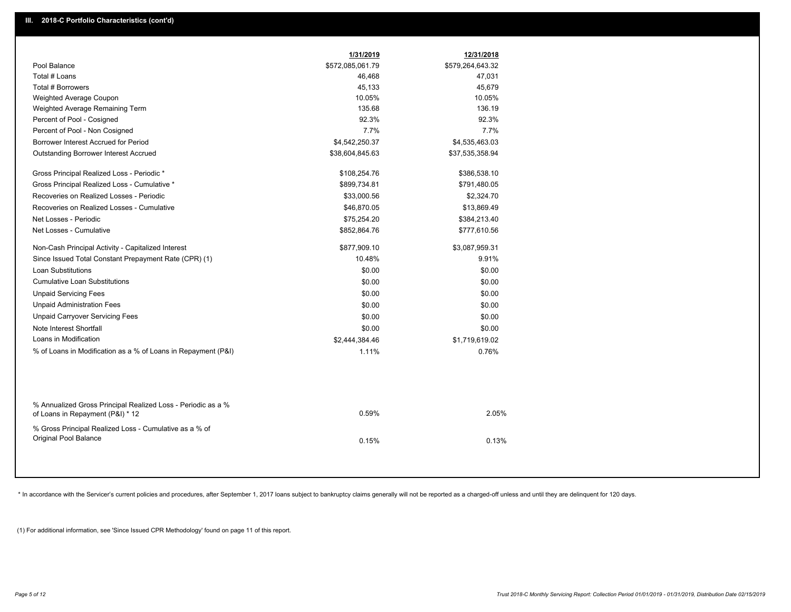|                                                                                                  | 1/31/2019        | 12/31/2018       |
|--------------------------------------------------------------------------------------------------|------------------|------------------|
| Pool Balance                                                                                     | \$572,085,061.79 | \$579,264,643.32 |
| Total # Loans                                                                                    | 46,468           | 47,031           |
| Total # Borrowers                                                                                | 45,133           | 45,679           |
| Weighted Average Coupon                                                                          | 10.05%           | 10.05%           |
| Weighted Average Remaining Term                                                                  | 135.68           | 136.19           |
| Percent of Pool - Cosigned                                                                       | 92.3%            | 92.3%            |
| Percent of Pool - Non Cosigned                                                                   | 7.7%             | 7.7%             |
| Borrower Interest Accrued for Period                                                             | \$4,542,250.37   | \$4,535,463.03   |
| <b>Outstanding Borrower Interest Accrued</b>                                                     | \$38,604,845.63  | \$37,535,358.94  |
| Gross Principal Realized Loss - Periodic *                                                       | \$108,254.76     | \$386,538.10     |
| Gross Principal Realized Loss - Cumulative *                                                     | \$899,734.81     | \$791,480.05     |
| Recoveries on Realized Losses - Periodic                                                         | \$33,000.56      | \$2,324.70       |
| Recoveries on Realized Losses - Cumulative                                                       | \$46,870.05      | \$13,869.49      |
| Net Losses - Periodic                                                                            | \$75,254.20      | \$384,213.40     |
| Net Losses - Cumulative                                                                          | \$852,864.76     | \$777,610.56     |
| Non-Cash Principal Activity - Capitalized Interest                                               | \$877,909.10     | \$3,087,959.31   |
| Since Issued Total Constant Prepayment Rate (CPR) (1)                                            | 10.48%           | 9.91%            |
| <b>Loan Substitutions</b>                                                                        | \$0.00           | \$0.00           |
| <b>Cumulative Loan Substitutions</b>                                                             | \$0.00           | \$0.00           |
| <b>Unpaid Servicing Fees</b>                                                                     | \$0.00           | \$0.00           |
| <b>Unpaid Administration Fees</b>                                                                | \$0.00           | \$0.00           |
| <b>Unpaid Carryover Servicing Fees</b>                                                           | \$0.00           | \$0.00           |
| Note Interest Shortfall                                                                          | \$0.00           | \$0.00           |
| Loans in Modification                                                                            | \$2,444,384.46   | \$1,719,619.02   |
| % of Loans in Modification as a % of Loans in Repayment (P&I)                                    | 1.11%            | 0.76%            |
|                                                                                                  |                  |                  |
| % Annualized Gross Principal Realized Loss - Periodic as a %<br>of Loans in Repayment (P&I) * 12 | 0.59%            | 2.05%            |
| % Gross Principal Realized Loss - Cumulative as a % of<br>Original Pool Balance                  | 0.15%            | 0.13%            |
|                                                                                                  |                  |                  |

\* In accordance with the Servicer's current policies and procedures, after September 1, 2017 loans subject to bankruptcy claims generally will not be reported as a charged-off unless and until they are delinquent for 120 d

(1) For additional information, see 'Since Issued CPR Methodology' found on page 11 of this report.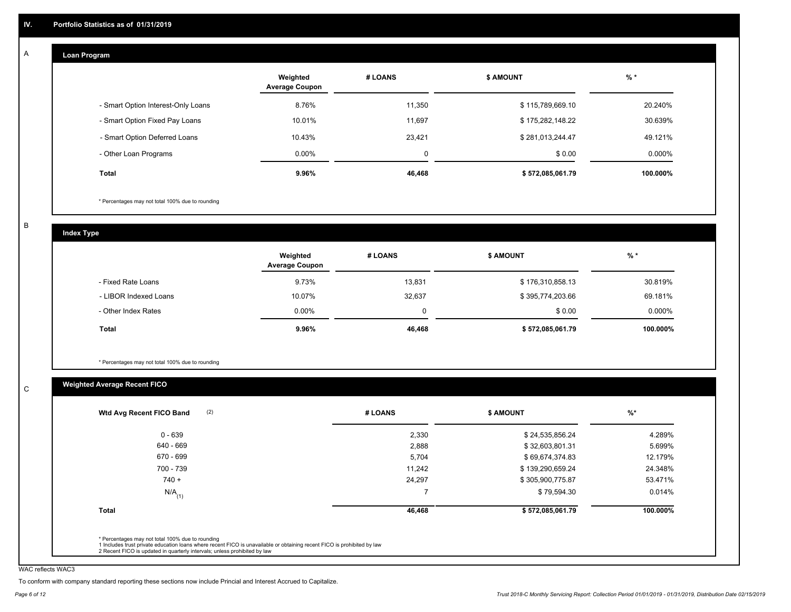#### **Loan Program**  A

|                                    | Weighted<br><b>Average Coupon</b> | # LOANS  | <b>\$ AMOUNT</b> | $%$ *    |
|------------------------------------|-----------------------------------|----------|------------------|----------|
| - Smart Option Interest-Only Loans | 8.76%                             | 11,350   | \$115,789,669.10 | 20.240%  |
| - Smart Option Fixed Pay Loans     | 10.01%                            | 11.697   | \$175,282,148.22 | 30.639%  |
| - Smart Option Deferred Loans      | 10.43%                            | 23.421   | \$281,013,244.47 | 49.121%  |
| - Other Loan Programs              | $0.00\%$                          | $\Omega$ | \$0.00           | 0.000%   |
| <b>Total</b>                       | 9.96%                             | 46,468   | \$572,085,061.79 | 100.000% |

\* Percentages may not total 100% due to rounding

B

C

**Index Type**

|                       | Weighted<br><b>Average Coupon</b> | # LOANS | <b>\$ AMOUNT</b> | $%$ *    |
|-----------------------|-----------------------------------|---------|------------------|----------|
| - Fixed Rate Loans    | 9.73%                             | 13,831  | \$176,310,858.13 | 30.819%  |
| - LIBOR Indexed Loans | 10.07%                            | 32,637  | \$395,774,203.66 | 69.181%  |
| - Other Index Rates   | $0.00\%$                          |         | \$0.00           | 0.000%   |
| Total                 | $9.96\%$                          | 46,468  | \$572,085,061.79 | 100.000% |

\* Percentages may not total 100% due to rounding

#### **Weighted Average Recent FICO**

| $0 - 639$<br>640 - 669 | 2,330<br>2,888 | \$24,535,856.24  | 4.289%   |
|------------------------|----------------|------------------|----------|
|                        |                |                  |          |
|                        |                | \$32,603,801.31  | 5.699%   |
| 670 - 699              | 5,704          | \$69,674,374.83  | 12.179%  |
| 700 - 739              | 11,242         | \$139,290,659.24 | 24.348%  |
| $740 +$                | 24,297         | \$305,900,775.87 | 53.471%  |
| $N/A$ <sub>(1)</sub>   | $\overline{ }$ | \$79,594.30      | 0.014%   |
| <b>Total</b>           | 46,468         | \$572,085,061.79 | 100.000% |

WAC reflects WAC3

To conform with company standard reporting these sections now include Princial and Interest Accrued to Capitalize.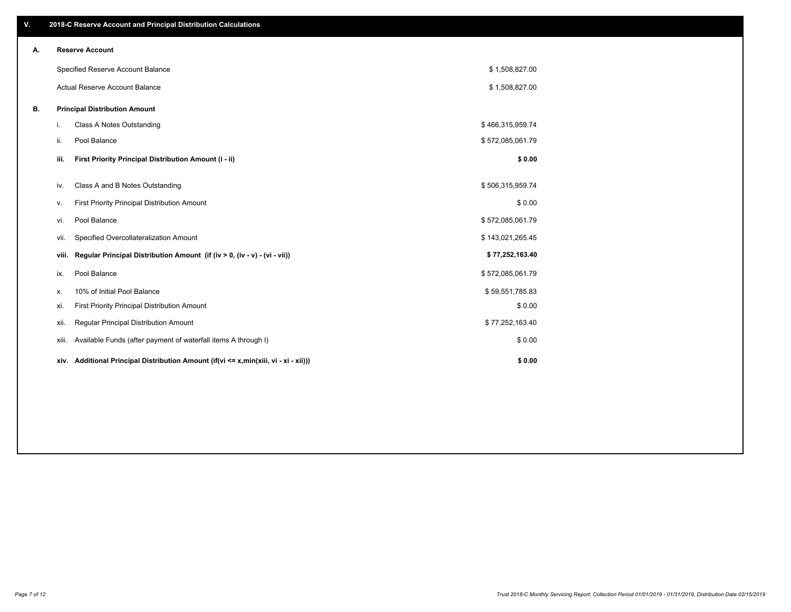| V. |       | 2018-C Reserve Account and Principal Distribution Calculations                  |                  |  |
|----|-------|---------------------------------------------------------------------------------|------------------|--|
| Α. |       | <b>Reserve Account</b>                                                          |                  |  |
|    |       | Specified Reserve Account Balance                                               | \$1,508,827.00   |  |
|    |       | Actual Reserve Account Balance                                                  | \$1,508,827.00   |  |
| В. |       | <b>Principal Distribution Amount</b>                                            |                  |  |
|    | i.    | Class A Notes Outstanding                                                       | \$466,315,959.74 |  |
|    | ii.   | Pool Balance                                                                    | \$572,085,061.79 |  |
|    | iii.  | First Priority Principal Distribution Amount (i - ii)                           | \$0.00           |  |
|    | iv.   | Class A and B Notes Outstanding                                                 | \$506,315,959.74 |  |
|    | ٧.    | First Priority Principal Distribution Amount                                    | \$0.00           |  |
|    | vi.   | Pool Balance                                                                    | \$572,085,061.79 |  |
|    | vii.  | Specified Overcollateralization Amount                                          | \$143,021,265.45 |  |
|    | viii. | Regular Principal Distribution Amount (if (iv > 0, (iv - v) - (vi - vii))       | \$77,252,163.40  |  |
|    | ix.   | Pool Balance                                                                    | \$572,085,061.79 |  |
|    | х.    | 10% of Initial Pool Balance                                                     | \$59,551,785.83  |  |
|    | xi.   | First Priority Principal Distribution Amount                                    | \$0.00           |  |
|    | xii.  | Regular Principal Distribution Amount                                           | \$77,252,163.40  |  |
|    | xiii. | Available Funds (after payment of waterfall items A through I)                  | \$0.00           |  |
|    | xiv.  | Additional Principal Distribution Amount (if(vi <= x,min(xiii, vi - xi - xii))) | \$0.00           |  |
|    |       |                                                                                 |                  |  |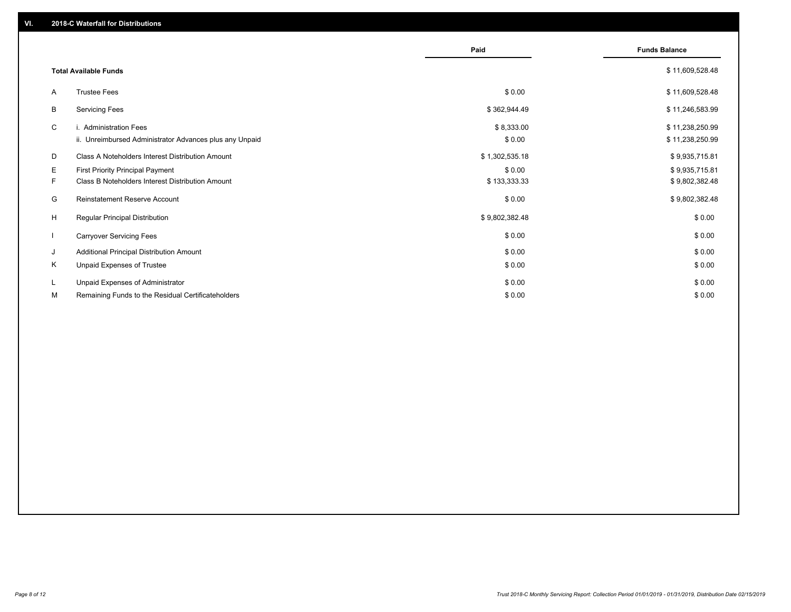|    |                                                         | Paid           | <b>Funds Balance</b> |
|----|---------------------------------------------------------|----------------|----------------------|
|    | <b>Total Available Funds</b>                            |                | \$11,609,528.48      |
| A  | <b>Trustee Fees</b>                                     | \$0.00         | \$11,609,528.48      |
| В  | <b>Servicing Fees</b>                                   | \$362,944.49   | \$11,246,583.99      |
| C  | i. Administration Fees                                  | \$8,333.00     | \$11,238,250.99      |
|    | ii. Unreimbursed Administrator Advances plus any Unpaid | \$0.00         | \$11,238,250.99      |
| D  | <b>Class A Noteholders Interest Distribution Amount</b> | \$1,302,535.18 | \$9,935,715.81       |
| Е  | First Priority Principal Payment                        | \$0.00         | \$9,935,715.81       |
| F. | <b>Class B Noteholders Interest Distribution Amount</b> | \$133,333.33   | \$9,802,382.48       |
| G  | <b>Reinstatement Reserve Account</b>                    | \$0.00         | \$9,802,382.48       |
| H  | Regular Principal Distribution                          | \$9,802,382.48 | \$0.00               |
|    | <b>Carryover Servicing Fees</b>                         | \$0.00         | \$0.00               |
| J  | Additional Principal Distribution Amount                | \$0.00         | \$0.00               |
| Κ  | Unpaid Expenses of Trustee                              | \$0.00         | \$0.00               |
| L  | Unpaid Expenses of Administrator                        | \$0.00         | \$0.00               |
| М  | Remaining Funds to the Residual Certificateholders      | \$0.00         | \$0.00               |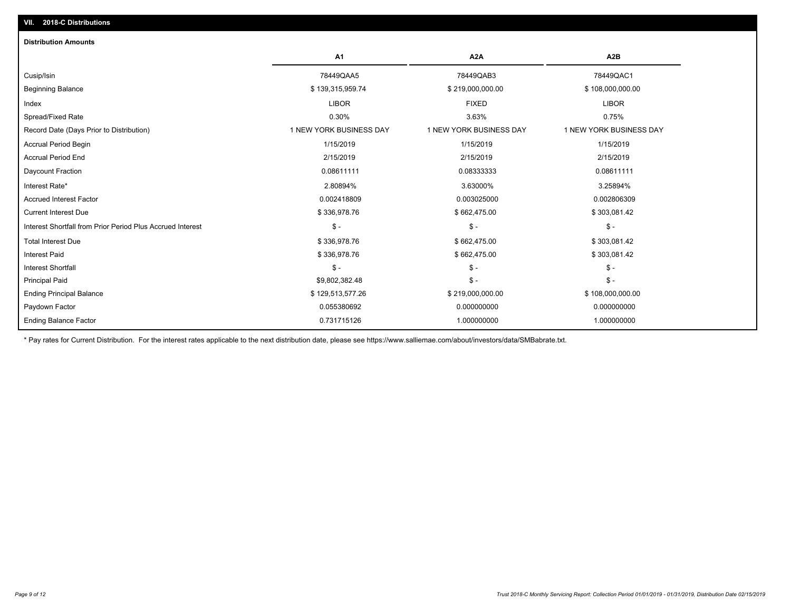| <b>Distribution Amounts</b>                                |                         |                         |                         |
|------------------------------------------------------------|-------------------------|-------------------------|-------------------------|
|                                                            | A <sub>1</sub>          | A <sub>2</sub> A        | A <sub>2</sub> B        |
| Cusip/Isin                                                 | 78449QAA5               | 78449QAB3               | 78449QAC1               |
| <b>Beginning Balance</b>                                   | \$139,315,959.74        | \$219,000,000.00        | \$108,000,000.00        |
| Index                                                      | <b>LIBOR</b>            | <b>FIXED</b>            | <b>LIBOR</b>            |
| Spread/Fixed Rate                                          | 0.30%                   | 3.63%                   | 0.75%                   |
| Record Date (Days Prior to Distribution)                   | 1 NEW YORK BUSINESS DAY | 1 NEW YORK BUSINESS DAY | 1 NEW YORK BUSINESS DAY |
| <b>Accrual Period Begin</b>                                | 1/15/2019               | 1/15/2019               | 1/15/2019               |
| <b>Accrual Period End</b>                                  | 2/15/2019               | 2/15/2019               | 2/15/2019               |
| Daycount Fraction                                          | 0.08611111              | 0.08333333              | 0.08611111              |
| Interest Rate*                                             | 2.80894%                | 3.63000%                | 3.25894%                |
| <b>Accrued Interest Factor</b>                             | 0.002418809             | 0.003025000             | 0.002806309             |
| <b>Current Interest Due</b>                                | \$336,978.76            | \$662,475.00            | \$303,081.42            |
| Interest Shortfall from Prior Period Plus Accrued Interest | $$ -$                   | $\frac{1}{2}$           | $\mathcal{S}$ -         |
| <b>Total Interest Due</b>                                  | \$336,978.76            | \$662,475.00            | \$303,081.42            |
| <b>Interest Paid</b>                                       | \$336,978.76            | \$662,475.00            | \$303,081.42            |
| <b>Interest Shortfall</b>                                  | $$ -$                   | $\frac{1}{2}$           | $$ -$                   |
| <b>Principal Paid</b>                                      | \$9,802,382.48          | $\frac{1}{2}$           | $$ -$                   |
| <b>Ending Principal Balance</b>                            | \$129,513,577.26        | \$219,000,000.00        | \$108,000,000.00        |
| Paydown Factor                                             | 0.055380692             | 0.000000000             | 0.000000000             |
| <b>Ending Balance Factor</b>                               | 0.731715126             | 1.000000000             | 1.000000000             |

\* Pay rates for Current Distribution. For the interest rates applicable to the next distribution date, please see https://www.salliemae.com/about/investors/data/SMBabrate.txt.

**VII. 2018-C Distributions**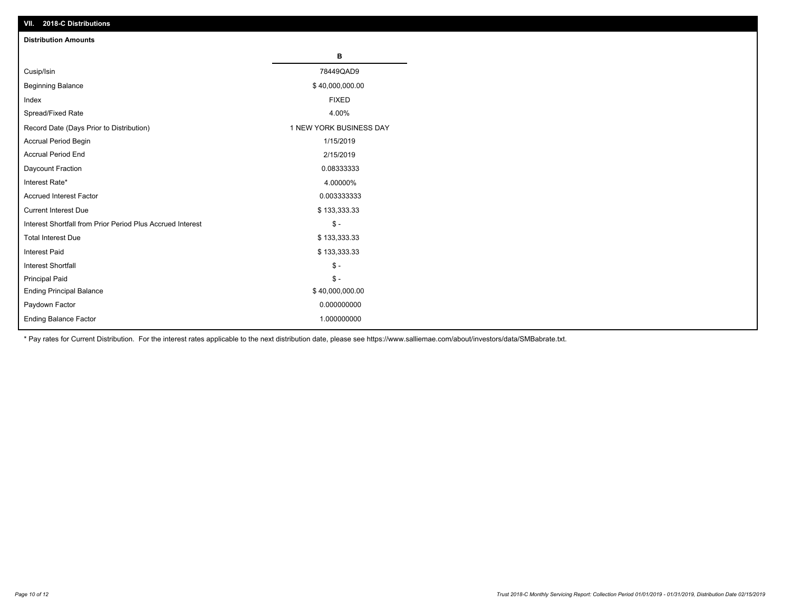| VII. 2018-C Distributions                                  |                         |
|------------------------------------------------------------|-------------------------|
| <b>Distribution Amounts</b>                                |                         |
|                                                            | в                       |
| Cusip/Isin                                                 | 78449QAD9               |
| <b>Beginning Balance</b>                                   | \$40,000,000.00         |
| Index                                                      | <b>FIXED</b>            |
| Spread/Fixed Rate                                          | 4.00%                   |
| Record Date (Days Prior to Distribution)                   | 1 NEW YORK BUSINESS DAY |
| Accrual Period Begin                                       | 1/15/2019               |
| <b>Accrual Period End</b>                                  | 2/15/2019               |
| Daycount Fraction                                          | 0.08333333              |
| Interest Rate*                                             | 4.00000%                |
| <b>Accrued Interest Factor</b>                             | 0.003333333             |
| <b>Current Interest Due</b>                                | \$133,333.33            |
| Interest Shortfall from Prior Period Plus Accrued Interest | $$ -$                   |
| <b>Total Interest Due</b>                                  | \$133,333.33            |
| Interest Paid                                              | \$133,333.33            |
| <b>Interest Shortfall</b>                                  | $$ -$                   |
| <b>Principal Paid</b>                                      | $$ -$                   |
| <b>Ending Principal Balance</b>                            | \$40,000,000.00         |
| Paydown Factor                                             | 0.000000000             |
| <b>Ending Balance Factor</b>                               | 1.000000000             |

\* Pay rates for Current Distribution. For the interest rates applicable to the next distribution date, please see https://www.salliemae.com/about/investors/data/SMBabrate.txt.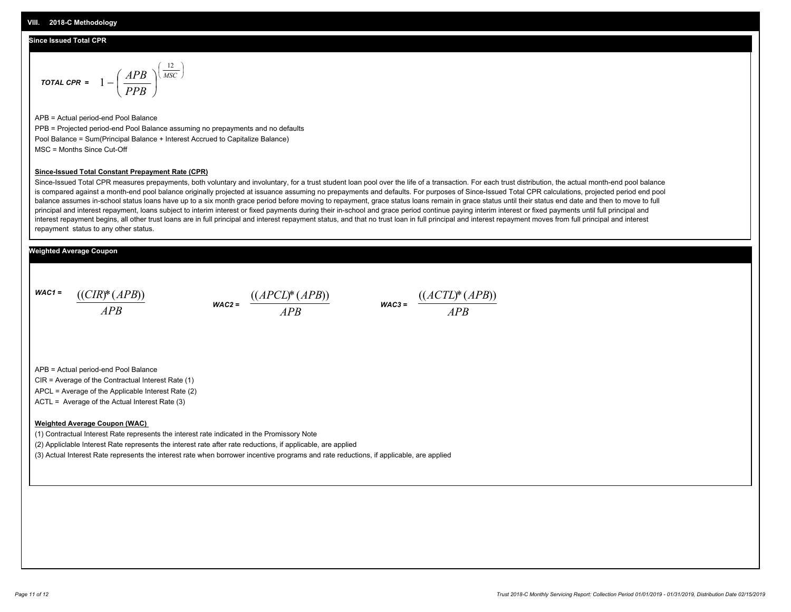#### **Since Issued Total CPR**

$$
\text{total CPR} = 1 - \left(\frac{APB}{PPB}\right)^{\left(\frac{12}{MSC}\right)}
$$

APB = Actual period-end Pool Balance PPB = Projected period-end Pool Balance assuming no prepayments and no defaults Pool Balance = Sum(Principal Balance + Interest Accrued to Capitalize Balance) MSC = Months Since Cut-Off

#### **Since-Issued Total Constant Prepayment Rate (CPR)**

Since-Issued Total CPR measures prepayments, both voluntary and involuntary, for a trust student loan pool over the life of a transaction. For each trust distribution, the actual month-end pool balance is compared against a month-end pool balance originally projected at issuance assuming no prepayments and defaults. For purposes of Since-Issued Total CPR calculations, projected period end pool balance assumes in-school status loans have up to a six month grace period before moving to repayment, grace status loans remain in grace status until their status end date and then to move to full principal and interest repayment, loans subject to interim interest or fixed payments during their in-school and grace period continue paying interim interest or fixed payments until full principal and interest repayment begins, all other trust loans are in full principal and interest repayment status, and that no trust loan in full principal and interest repayment moves from full principal and interest repayment status to any other status.

#### **Weighted Average Coupon**

*WAC1 = APB* ((*CIR*)\*(*APB*))

*WAC2 = APB*



APB = Actual period-end Pool Balance

CIR = Average of the Contractual Interest Rate (1)

APCL = Average of the Applicable Interest Rate (2)

ACTL = Average of the Actual Interest Rate (3)

#### **Weighted Average Coupon (WAC)**

(1) Contractual Interest Rate represents the interest rate indicated in the Promissory Note

(2) Appliclable Interest Rate represents the interest rate after rate reductions, if applicable, are applied

(3) Actual Interest Rate represents the interest rate when borrower incentive programs and rate reductions, if applicable, are applied